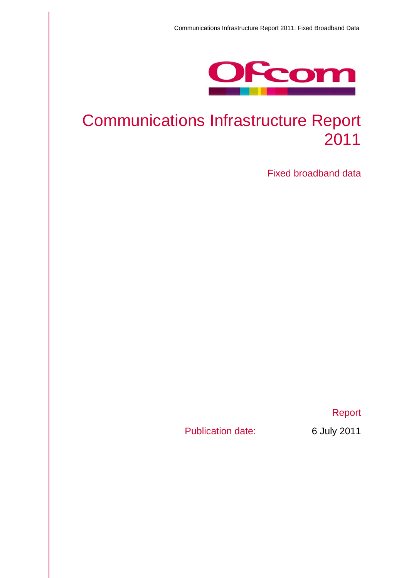

# Communications Infrastructure Report 2011

Fixed broadband data

Report

Publication date: 6 July 2011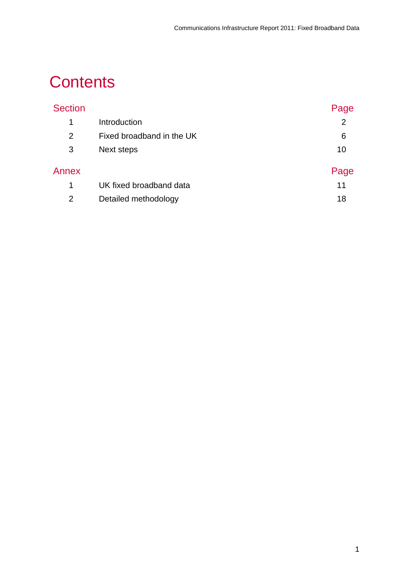# **Contents**

| <b>Section</b> |                           | Page           |
|----------------|---------------------------|----------------|
| $\mathbf 1$    | Introduction              | $\overline{2}$ |
| $\overline{2}$ | Fixed broadband in the UK | 6              |
| 3              | Next steps                | 10             |
| Annex          |                           | Page           |
| 1              | UK fixed broadband data   | 11             |
| $\overline{2}$ | Detailed methodology      | 18             |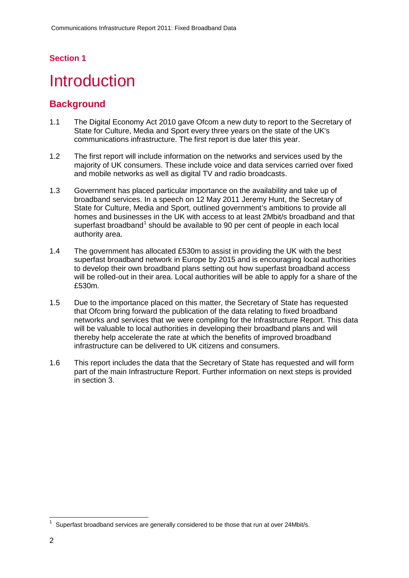### **Section 1**

# <span id="page-2-0"></span>**Introduction**

### **Background**

- 1.1 The Digital Economy Act 2010 gave Ofcom a new duty to report to the Secretary of State for Culture, Media and Sport every three years on the state of the UK's communications infrastructure. The first report is due later this year.
- 1.2 The first report will include information on the networks and services used by the majority of UK consumers. These include voice and data services carried over fixed and mobile networks as well as digital TV and radio broadcasts.
- 1.3 Government has placed particular importance on the availability and take up of broadband services. In a speech on 12 May 2011 Jeremy Hunt, the Secretary of State for Culture, Media and Sport, outlined government's ambitions to provide all homes and businesses in the UK with access to at least 2Mbit/s broadband and that superfast broadband<sup>[1](#page-2-1)</sup> should be available to 90 per cent of people in each local authority area.
- 1.4 The government has allocated £530m to assist in providing the UK with the best superfast broadband network in Europe by 2015 and is encouraging local authorities to develop their own broadband plans setting out how superfast broadband access will be rolled-out in their area. Local authorities will be able to apply for a share of the £530m.
- 1.5 Due to the importance placed on this matter, the Secretary of State has requested that Ofcom bring forward the publication of the data relating to fixed broadband networks and services that we were compiling for the Infrastructure Report. This data will be valuable to local authorities in developing their broadband plans and will thereby help accelerate the rate at which the benefits of improved broadband infrastructure can be delivered to UK citizens and consumers.
- 1.6 This report includes the data that the Secretary of State has requested and will form part of the main Infrastructure Report. Further information on next steps is provided in section 3.

<span id="page-2-1"></span> <sup>1</sup> Superfast broadband services are generally considered to be those that run at over 24Mbit/s.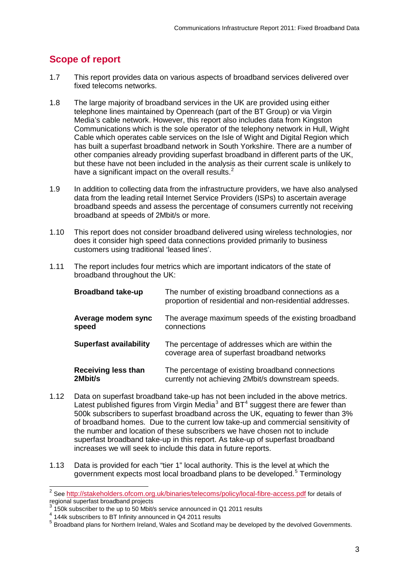# **Scope of report**

- 1.7 This report provides data on various aspects of broadband services delivered over fixed telecoms networks.
- 1.8 The large majority of broadband services in the UK are provided using either telephone lines maintained by Openreach (part of the BT Group) or via Virgin Media's cable network. However, this report also includes data from Kingston Communications which is the sole operator of the telephony network in Hull, Wight Cable which operates cable services on the Isle of Wight and Digital Region which has built a superfast broadband network in South Yorkshire. There are a number of other companies already providing superfast broadband in different parts of the UK, but these have not been included in the analysis as their current scale is unlikely to have a significant impact on the overall results.<sup>[2](#page-3-0)</sup>
- 1.9 In addition to collecting data from the infrastructure providers, we have also analysed data from the leading retail Internet Service Providers (ISPs) to ascertain average broadband speeds and assess the percentage of consumers currently not receiving broadband at speeds of 2Mbit/s or more.
- 1.10 This report does not consider broadband delivered using wireless technologies, nor does it consider high speed data connections provided primarily to business customers using traditional 'leased lines'.
- 1.11 The report includes four metrics which are important indicators of the state of broadband throughout the UK:

| <b>Broadband take-up</b>      | The number of existing broadband connections as a<br>proportion of residential and non-residential addresses. |
|-------------------------------|---------------------------------------------------------------------------------------------------------------|
| Average modem sync            | The average maximum speeds of the existing broadband                                                          |
| speed                         | connections                                                                                                   |
| <b>Superfast availability</b> | The percentage of addresses which are within the<br>coverage area of superfast broadband networks             |
| <b>Receiving less than</b>    | The percentage of existing broadband connections                                                              |
| 2Mbit/s                       | currently not achieving 2Mbit/s downstream speeds.                                                            |

- 1.12 Data on superfast broadband take-up has not been included in the above metrics. Latest published figures from Virgin Media<sup>[3](#page-3-1)</sup> and BT<sup>[4](#page-3-2)</sup> suggest there are fewer than 500k subscribers to superfast broadband across the UK, equating to fewer than 3% of broadband homes. Due to the current low take-up and commercial sensitivity of the number and location of these subscribers we have chosen not to include superfast broadband take-up in this report. As take-up of superfast broadband increases we will seek to include this data in future reports.
- 1.13 Data is provided for each "tier 1" local authority. This is the level at which the government expects most local broadband plans to be developed.<sup>[5](#page-3-3)</sup> Terminology

<span id="page-3-0"></span> <sup>2</sup> See <http://stakeholders.ofcom.org.uk/binaries/telecoms/policy/local-fibre-access.pdf> for details of regional superfast broadband projects

<sup>3</sup> 150k subscriber to the up to 50 Mbit/s service announced in Q1 2011 results

<span id="page-3-2"></span><span id="page-3-1"></span><sup>4 144</sup>k subscribers to BT Infinity announced in Q4 2011 results

<span id="page-3-3"></span><sup>5</sup> Broadband plans for Northern Ireland, Wales and Scotland may be developed by the devolved Governments.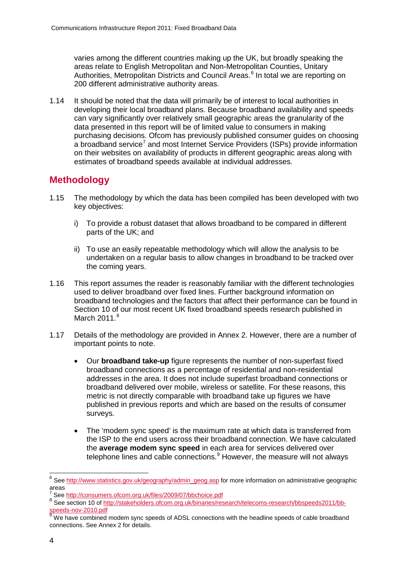varies among the different countries making up the UK, but broadly speaking the areas relate to English Metropolitan and Non-Metropolitan Counties, Unitary Authorities, Metropolitan Districts and Council Areas. [6](#page-4-0) In total we are reporting on 200 different administrative authority areas.

1.14 It should be noted that the data will primarily be of interest to local authorities in developing their local broadband plans. Because broadband availability and speeds can vary significantly over relatively small geographic areas the granularity of the data presented in this report will be of limited value to consumers in making purchasing decisions. Ofcom has previously published consumer guides on choosing a broadband service<sup>[7](#page-4-1)</sup> and most Internet Service Providers (ISPs) provide information on their websites on availability of products in different geographic areas along with estimates of broadband speeds available at individual addresses.

# **Methodology**

- 1.15 The methodology by which the data has been compiled has been developed with two key objectives:
	- i) To provide a robust dataset that allows broadband to be compared in different parts of the UK; and
	- ii) To use an easily repeatable methodology which will allow the analysis to be undertaken on a regular basis to allow changes in broadband to be tracked over the coming years.
- 1.16 This report assumes the reader is reasonably familiar with the different technologies used to deliver broadband over fixed lines. Further background information on broadband technologies and the factors that affect their performance can be found in Section 10 of our most recent UK fixed broadband speeds research published in March 2011.<sup>[8](#page-4-2)</sup>
- 1.17 Details of the methodology are provided in Annex 2. However, there are a number of important points to note.
	- Our **broadband take-up** figure represents the number of non-superfast fixed broadband connections as a percentage of residential and non-residential addresses in the area. It does not include superfast broadband connections or broadband delivered over mobile, wireless or satellite. For these reasons, this metric is not directly comparable with broadband take up figures we have published in previous reports and which are based on the results of consumer surveys.
	- The 'modem sync speed' is the maximum rate at which data is transferred from the ISP to the end users across their broadband connection. We have calculated the **average modem sync speed** in each area for services delivered over telephone lines and cable connections.<sup>[9](#page-4-3)</sup> However, the measure will not always

<span id="page-4-0"></span> <sup>6</sup> See [http://www.statistics.gov.uk/geography/admin\\_geog.asp](http://www.statistics.gov.uk/geography/admin_geog.asp) for more information on administrative geographic areas<br>7 See http://consumers.ofcom.org.uk/files/2009/07/bbchoice.pdf

<span id="page-4-1"></span>

<span id="page-4-2"></span><sup>8</sup> See section 10 of http://stakeholders.ofcom.org.uk/binaries/research/telecoms-research/bbspeeds2011/bb-<br>speeds-nov-2010.pdf

<span id="page-4-3"></span>We have combined modem sync speeds of ADSL connections with the headline speeds of cable broadband connections. See Annex 2 for details.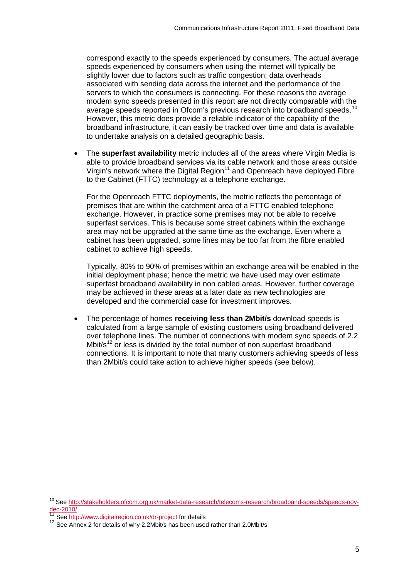correspond exactly to the speeds experienced by consumers. The actual average speeds experienced by consumers when using the internet will typically be slightly lower due to factors such as traffic congestion; data overheads associated with sending data across the internet and the performance of the servers to which the consumers is connecting. For these reasons the average modem sync speeds presented in this report are not directly comparable with the average speeds reported in Ofcom's previous research into broadband speeds.<sup>[10](#page-5-0)</sup> However, this metric does provide a reliable indicator of the capability of the broadband infrastructure, it can easily be tracked over time and data is available to undertake analysis on a detailed geographic basis.

• The **superfast availability** metric includes all of the areas where Virgin Media is able to provide broadband services via its cable network and those areas outside Virgin's network where the Digital Region<sup>[11](#page-5-1)</sup> and Openreach have deployed Fibre to the Cabinet (FTTC) technology at a telephone exchange.

For the Openreach FTTC deployments, the metric reflects the percentage of premises that are within the catchment area of a FTTC enabled telephone exchange. However, in practice some premises may not be able to receive superfast services. This is because some street cabinets within the exchange area may not be upgraded at the same time as the exchange. Even where a cabinet has been upgraded, some lines may be too far from the fibre enabled cabinet to achieve high speeds.

Typically, 80% to 90% of premises within an exchange area will be enabled in the initial deployment phase; hence the metric we have used may over estimate superfast broadband availability in non cabled areas. However, further coverage may be achieved in these areas at a later date as new technologies are developed and the commercial case for investment improves.

• The percentage of homes **receiving less than 2Mbit/s** download speeds is calculated from a large sample of existing customers using broadband delivered over telephone lines. The number of connections with modem sync speeds of 2.2 Mbit/s<sup>[12](#page-5-2)</sup> or less is divided by the total number of non superfast broadband connections. It is important to note that many customers achieving speeds of less than 2Mbit/s could take action to achieve higher speeds (see below).

<span id="page-5-0"></span><sup>10</sup> Se[e http://stakeholders.ofcom.org.uk/market-data-research/telecoms-research/broadband-speeds/speeds-nov](http://stakeholders.ofcom.org.uk/market-data-research/telecoms-research/broadband-speeds/speeds-nov-dec-2010/)[dec-2010/](http://stakeholders.ofcom.org.uk/market-data-research/telecoms-research/broadband-speeds/speeds-nov-dec-2010/)

<span id="page-5-1"></span>Se[e http://www.digitalregion.co.uk/dr-project](http://www.digitalregion.co.uk/dr-project) for details

<span id="page-5-2"></span><sup>&</sup>lt;sup>12</sup> See Annex 2 for details of why 2.2Mbit/s has been used rather than 2.0Mbit/s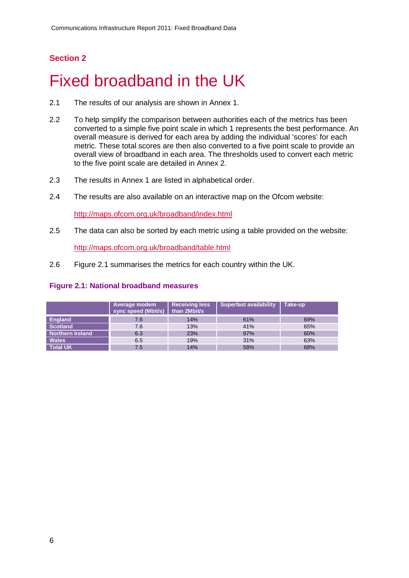### **Section 2**

# <span id="page-6-0"></span>Fixed broadband in the UK

- 2.1 The results of our analysis are shown in Annex 1.
- 2.2 To help simplify the comparison between authorities each of the metrics has been converted to a simple five point scale in which 1 represents the best performance. An overall measure is derived for each area by adding the individual 'scores' for each metric. These total scores are then also converted to a five point scale to provide an overall view of broadband in each area. The thresholds used to convert each metric to the five point scale are detailed in Annex 2.
- 2.3 The results in Annex 1 are listed in alphabetical order.
- 2.4 The results are also available on an interactive map on the Ofcom website:

<http://maps.ofcom.org.uk/broadband/index.html>

2.5 The data can also be sorted by each metric using a table provided on the website:

<http://maps.ofcom.org.uk/broadband/table.html>

2.6 Figure 2.1 summarises the metrics for each country within the UK.

#### **Figure 2.1: National broadband measures**

|                         | Average modem<br>sync speed (Mbit/s) | <b>Receiving less</b><br>than 2Mbit/s | <b>Superfast availability</b> | Take-up |
|-------------------------|--------------------------------------|---------------------------------------|-------------------------------|---------|
| <b>England</b>          | 7.6                                  | 14%                                   | 61%                           | 69%     |
| <b>Scotland</b>         | 7.6                                  | 13%                                   | 41%                           | 65%     |
| <b>Northern Ireland</b> | 6.3                                  | 23%                                   | 97%                           | 60%     |
| <b>Wales</b>            | 6.5                                  | 19%                                   | 31%                           | 63%     |
| <b>Total UK</b>         | 7.5                                  | 14%                                   | 58%                           | 68%     |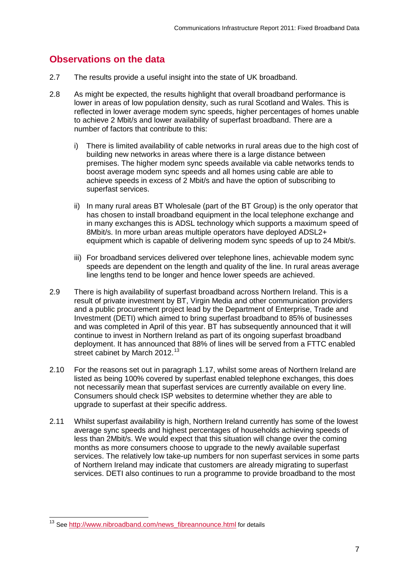### **Observations on the data**

- 2.7 The results provide a useful insight into the state of UK broadband.
- 2.8 As might be expected, the results highlight that overall broadband performance is lower in areas of low population density, such as rural Scotland and Wales. This is reflected in lower average modem sync speeds, higher percentages of homes unable to achieve 2 Mbit/s and lower availability of superfast broadband. There are a number of factors that contribute to this:
	- i) There is limited availability of cable networks in rural areas due to the high cost of building new networks in areas where there is a large distance between premises. The higher modem sync speeds available via cable networks tends to boost average modem sync speeds and all homes using cable are able to achieve speeds in excess of 2 Mbit/s and have the option of subscribing to superfast services.
	- ii) In many rural areas BT Wholesale (part of the BT Group) is the only operator that has chosen to install broadband equipment in the local telephone exchange and in many exchanges this is ADSL technology which supports a maximum speed of 8Mbit/s. In more urban areas multiple operators have deployed ADSL2+ equipment which is capable of delivering modem sync speeds of up to 24 Mbit/s.
	- iii) For broadband services delivered over telephone lines, achievable modem sync speeds are dependent on the length and quality of the line. In rural areas average line lengths tend to be longer and hence lower speeds are achieved.
- 2.9 There is high availability of superfast broadband across Northern Ireland. This is a result of private investment by BT, Virgin Media and other communication providers and a public procurement project lead by the Department of Enterprise, Trade and Investment (DETI) which aimed to bring superfast broadband to 85% of businesses and was completed in April of this year. BT has subsequently announced that it will continue to invest in Northern Ireland as part of its ongoing superfast broadband deployment. It has announced that 88% of lines will be served from a FTTC enabled street cabinet by March 2012.<sup>[13](#page-7-0)</sup>
- 2.10 For the reasons set out in paragraph 1.17, whilst some areas of Northern Ireland are listed as being 100% covered by superfast enabled telephone exchanges, this does not necessarily mean that superfast services are currently available on every line. Consumers should check ISP websites to determine whether they are able to upgrade to superfast at their specific address.
- 2.11 Whilst superfast availability is high, Northern Ireland currently has some of the lowest average sync speeds and highest percentages of households achieving speeds of less than 2Mbit/s. We would expect that this situation will change over the coming months as more consumers choose to upgrade to the newly available superfast services. The relatively low take-up numbers for non superfast services in some parts of Northern Ireland may indicate that customers are already migrating to superfast services. DETI also continues to run a programme to provide broadband to the most

<span id="page-7-0"></span><sup>&</sup>lt;sup>13</sup> Se[e http://www.nibroadband.com/news\\_fibreannounce.html](http://www.nibroadband.com/news_fibreannounce.html) for details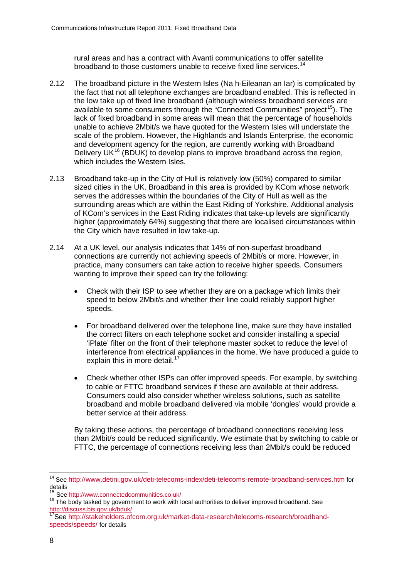rural areas and has a contract with Avanti communications to offer satellite broadband to those customers unable to receive fixed line services.<sup>[14](#page-8-0)</sup>

- 2.12 The broadband picture in the Western Isles (Na h-Eileanan an Iar) is complicated by the fact that not all telephone exchanges are broadband enabled. This is reflected in the low take up of fixed line broadband (although wireless broadband services are available to some consumers through the "Connected Communities" project<sup>[15](#page-8-1)</sup>). The lack of fixed broadband in some areas will mean that the percentage of households unable to achieve 2Mbit/s we have quoted for the Western Isles will understate the scale of the problem. However, the Highlands and Islands Enterprise, the economic and development agency for the region, are currently working with Broadband Delivery UK<sup>[16](#page-8-2)</sup> (BDUK) to develop plans to improve broadband across the region, which includes the Western Isles.
- 2.13 Broadband take-up in the City of Hull is relatively low (50%) compared to similar sized cities in the UK. Broadband in this area is provided by KCom whose network serves the addresses within the boundaries of the City of Hull as well as the surrounding areas which are within the East Riding of Yorkshire. Additional analysis of KCom's services in the East Riding indicates that take-up levels are significantly higher (approximately 64%) suggesting that there are localised circumstances within the City which have resulted in low take-up.
- 2.14 At a UK level, our analysis indicates that 14% of non-superfast broadband connections are currently not achieving speeds of 2Mbit/s or more. However, in practice, many consumers can take action to receive higher speeds. Consumers wanting to improve their speed can try the following:
	- Check with their ISP to see whether they are on a package which limits their speed to below 2Mbit/s and whether their line could reliably support higher speeds.
	- For broadband delivered over the telephone line, make sure they have installed the correct filters on each telephone socket and consider installing a special 'iPlate' filter on the front of their telephone master socket to reduce the level of interference from electrical appliances in the home. We have produced a guide to explain this in more detail.<sup>[17](#page-8-3)</sup>
	- Check whether other ISPs can offer improved speeds. For example, by switching to cable or FTTC broadband services if these are available at their address. Consumers could also consider whether wireless solutions, such as satellite broadband and mobile broadband delivered via mobile 'dongles' would provide a better service at their address.

By taking these actions, the percentage of broadband connections receiving less than 2Mbit/s could be reduced significantly. We estimate that by switching to cable or FTTC, the percentage of connections receiving less than 2Mbit/s could be reduced

<span id="page-8-0"></span><sup>&</sup>lt;sup>14</sup> Se[e http://www.detini.gov.uk/deti-telecoms-index/deti-telecoms-remote-broadband-services.htm](http://www.detini.gov.uk/deti-telecoms-index/deti-telecoms-remote-broadband-services.htm) for details

<span id="page-8-2"></span><span id="page-8-1"></span><sup>&</sup>lt;sup>15</sup> See <u>http://www.connectedcommunities.co.uk/</u><br><sup>16</sup> The body tasked by government to work with local authorities to deliver improved broadband. See <http://discuss.bis.gov.uk/bduk/>

<span id="page-8-3"></span><sup>17</sup>See [http://stakeholders.ofcom.org.uk/market-data-research/telecoms-research/broadband](http://stakeholders.ofcom.org.uk/market-data-research/telecoms-research/broadband-speeds/speeds/)[speeds/speeds/](http://stakeholders.ofcom.org.uk/market-data-research/telecoms-research/broadband-speeds/speeds/) for details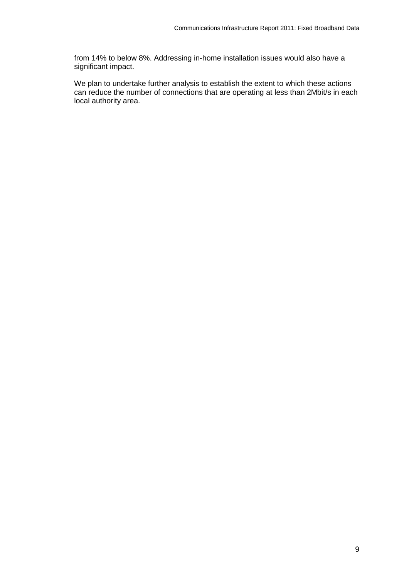from 14% to below 8%. Addressing in-home installation issues would also have a significant impact.

We plan to undertake further analysis to establish the extent to which these actions can reduce the number of connections that are operating at less than 2Mbit/s in each local authority area.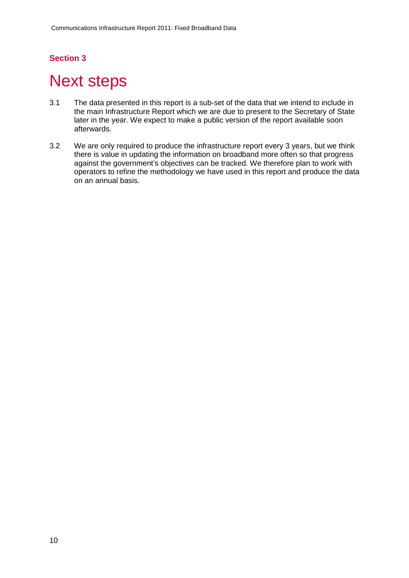### **Section 3**

# <span id="page-10-0"></span>**Next steps**

- 3.1 The data presented in this report is a sub-set of the data that we intend to include in the main Infrastructure Report which we are due to present to the Secretary of State later in the year. We expect to make a public version of the report available soon afterwards.
- 3.2 We are only required to produce the infrastructure report every 3 years, but we think there is value in updating the information on broadband more often so that progress against the government's objectives can be tracked. We therefore plan to work with operators to refine the methodology we have used in this report and produce the data on an annual basis.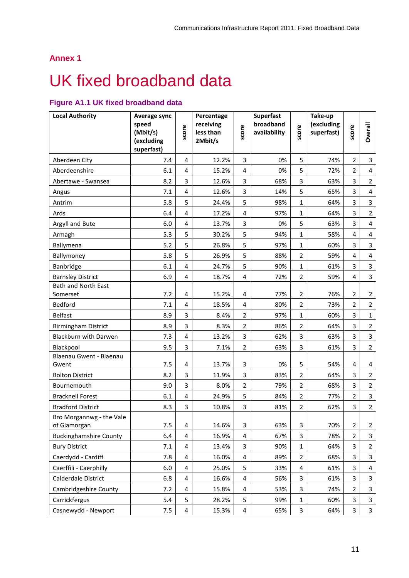## **Annex 1**

# <span id="page-11-0"></span>UK fixed broadband data

### **Figure A1.1 UK fixed broadband data**

| <b>Local Authority</b>                   | Average sync<br>speed<br>(Mbit/s)<br>(excluding | score | Percentage<br>receiving<br>less than<br>2Mbit/s | score                   | <b>Superfast</b><br>broadband<br>availability | score          | Take-up<br>(excluding<br>superfast) | score          | Overall                 |
|------------------------------------------|-------------------------------------------------|-------|-------------------------------------------------|-------------------------|-----------------------------------------------|----------------|-------------------------------------|----------------|-------------------------|
|                                          | superfast)                                      |       |                                                 |                         |                                               |                |                                     |                |                         |
| Aberdeen City                            | 7.4                                             | 4     | 12.2%                                           | 3                       | 0%                                            | 5              | 74%                                 | $\overline{2}$ | 3                       |
| Aberdeenshire                            | 6.1                                             | 4     | 15.2%                                           | 4                       | 0%                                            | 5              | 72%                                 | $\overline{2}$ | 4                       |
| Abertawe - Swansea                       | 8.2                                             | 3     | 12.6%                                           | 3                       | 68%                                           | 3              | 63%                                 | 3              | $\overline{2}$          |
| Angus                                    | 7.1                                             | 4     | 12.6%                                           | 3                       | 14%                                           | 5              | 65%                                 | 3              | 4                       |
| Antrim                                   | 5.8                                             | 5     | 24.4%                                           | 5                       | 98%                                           | $\mathbf{1}$   | 64%                                 | 3              | $\overline{3}$          |
| Ards                                     | 6.4                                             | 4     | 17.2%                                           | $\overline{4}$          | 97%                                           | $\mathbf{1}$   | 64%                                 | 3              | $\overline{2}$          |
| Argyll and Bute                          | 6.0                                             | 4     | 13.7%                                           | 3                       | 0%                                            | 5              | 63%                                 | 3              | 4                       |
| Armagh                                   | 5.3                                             | 5     | 30.2%                                           | 5                       | 94%                                           | $\mathbf{1}$   | 58%                                 | 4              | 4                       |
| Ballymena                                | 5.2                                             | 5     | 26.8%                                           | 5                       | 97%                                           | $\mathbf{1}$   | 60%                                 | 3              | 3                       |
| Ballymoney                               | 5.8                                             | 5     | 26.9%                                           | 5                       | 88%                                           | $\overline{2}$ | 59%                                 | 4              | 4                       |
| Banbridge                                | 6.1                                             | 4     | 24.7%                                           | 5                       | 90%                                           | $\mathbf{1}$   | 61%                                 | 3              | 3                       |
| <b>Barnsley District</b>                 | 6.9                                             | 4     | 18.7%                                           | 4                       | 72%                                           | $\overline{2}$ | 59%                                 | 4              | $\overline{3}$          |
| <b>Bath and North East</b>               |                                                 |       |                                                 |                         |                                               |                |                                     |                |                         |
| Somerset                                 | 7.2                                             | 4     | 15.2%                                           | 4                       | 77%                                           | $\overline{2}$ | 76%                                 | $\overline{2}$ | $\overline{2}$          |
| <b>Bedford</b>                           | 7.1                                             | 4     | 18.5%                                           | 4                       | 80%                                           | $\overline{2}$ | 73%                                 | $\overline{2}$ | $\mathbf{2}$            |
| <b>Belfast</b>                           | 8.9                                             | 3     | 8.4%                                            | $\overline{2}$          | 97%                                           | $\mathbf{1}$   | 60%                                 | 3              | $\mathbf{1}$            |
| <b>Birmingham District</b>               | 8.9                                             | 3     | 8.3%                                            | $\overline{2}$          | 86%                                           | $\overline{2}$ | 64%                                 | 3              | $\overline{2}$          |
| Blackburn with Darwen                    | 7.3                                             | 4     | 13.2%                                           | $\overline{3}$          | 62%                                           | 3              | 63%                                 | 3              | $\mathbf{3}$            |
| Blackpool                                | 9.5                                             | 3     | 7.1%                                            | $\overline{2}$          | 63%                                           | 3              | 61%                                 | 3              | $\overline{2}$          |
| Blaenau Gwent - Blaenau<br>Gwent         | 7.5                                             | 4     | 13.7%                                           | 3                       | 0%                                            | 5              | 54%                                 | 4              | 4                       |
| <b>Bolton District</b>                   | 8.2                                             | 3     | 11.9%                                           | 3                       | 83%                                           | $\overline{2}$ | 64%                                 | 3              | $\overline{2}$          |
| Bournemouth                              | 9.0                                             | 3     | 8.0%                                            | $\overline{2}$          | 79%                                           | $\overline{2}$ | 68%                                 | 3              | $\overline{2}$          |
| <b>Bracknell Forest</b>                  | 6.1                                             | 4     | 24.9%                                           | 5                       | 84%                                           | $\overline{2}$ | 77%                                 | $\overline{2}$ | $\overline{\mathbf{3}}$ |
| <b>Bradford District</b>                 | 8.3                                             | 3     | 10.8%                                           | 3                       | 81%                                           | $\overline{2}$ | 62%                                 | 3              | $\overline{2}$          |
| Bro Morgannwg - the Vale<br>of Glamorgan | 7.5                                             | 4     | 14.6%                                           | 3                       | 63%                                           | 3              | 70%                                 | 2              | $\overline{2}$          |
| <b>Buckinghamshire County</b>            | 6.4                                             | 4     | 16.9%                                           | 4                       | 67%                                           | 3              | 78%                                 | $\overline{2}$ | 3                       |
| <b>Bury District</b>                     | 7.1                                             | 4     | 13.4%                                           | 3                       | 90%                                           | $\mathbf{1}$   | 64%                                 | 3              | $\overline{2}$          |
| Caerdydd - Cardiff                       | 7.8                                             | 4     | 16.0%                                           | 4                       | 89%                                           | $\overline{2}$ | 68%                                 | 3              | 3                       |
| Caerffili - Caerphilly                   | 6.0                                             | 4     | 25.0%                                           | 5                       | 33%                                           | 4              | 61%                                 | 3              | 4                       |
| Calderdale District                      | 6.8                                             | 4     | 16.6%                                           | 4                       | 56%                                           | 3              | 61%                                 | 3              | $\overline{3}$          |
| Cambridgeshire County                    | 7.2                                             | 4     | 15.8%                                           | 4                       | 53%                                           | 3              | 74%                                 | 2              | 3                       |
| Carrickfergus                            | 5.4                                             | 5     | 28.2%                                           | 5                       | 99%                                           | 1              | 60%                                 | 3              | $\overline{\mathbf{3}}$ |
| Casnewydd - Newport                      | 7.5                                             | 4     | 15.3%                                           | $\overline{\mathbf{4}}$ | 65%                                           | 3              | 64%                                 | 3              | $\mathbf{3}$            |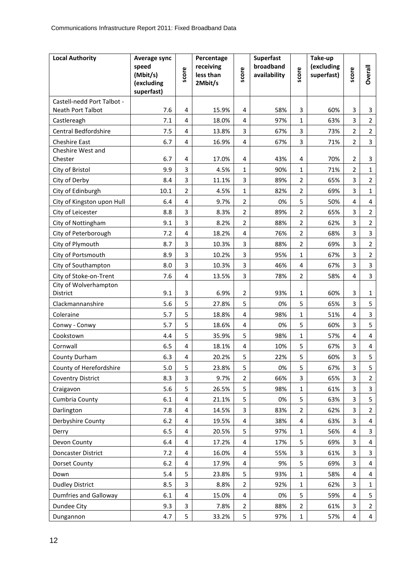| <b>Local Authority</b>       | Average sync<br>speed<br>(Mbit/s) | score          | Percentage<br>receiving<br>less than | score          | <b>Superfast</b><br>broadband<br>availability | score             | Take-up<br>(excluding<br>superfast) | score          | <b>Overall</b>      |
|------------------------------|-----------------------------------|----------------|--------------------------------------|----------------|-----------------------------------------------|-------------------|-------------------------------------|----------------|---------------------|
|                              | (excluding<br>superfast)          |                | 2Mbit/s                              |                |                                               |                   |                                     |                |                     |
| Castell-nedd Port Talbot -   |                                   |                |                                      |                |                                               |                   |                                     |                |                     |
| Neath Port Talbot            | 7.6                               | 4              | 15.9%                                | 4              | 58%                                           | 3                 | 60%                                 | 3              | 3                   |
| Castlereagh                  | 7.1                               | 4              | 18.0%                                | $\overline{4}$ | 97%                                           | 1                 | 63%                                 | 3              | $\overline{2}$      |
| Central Bedfordshire         | 7.5                               | $\overline{4}$ | 13.8%                                | 3              | 67%                                           | 3                 | 73%                                 | $\overline{2}$ | $\overline{2}$      |
| <b>Cheshire East</b>         | 6.7                               | 4              | 16.9%                                | 4              | 67%                                           | 3                 | 71%                                 | 2              | 3                   |
| Cheshire West and<br>Chester | 6.7                               | 4              | 17.0%                                | 4              | 43%                                           | 4                 | 70%                                 | 2              | 3                   |
| City of Bristol              | 9.9                               | 3              | 4.5%                                 | $\mathbf{1}$   | 90%                                           | $\mathbf{1}$      | 71%                                 | $\overline{2}$ | $\mathbf{1}$        |
| City of Derby                | 8.4                               | 3              | 11.1%                                | 3              | 89%                                           | $\overline{2}$    | 65%                                 | 3              | $\overline{2}$      |
| City of Edinburgh            | 10.1                              | $\overline{2}$ | 4.5%                                 | $\mathbf{1}$   | 82%                                           | $\overline{2}$    | 69%                                 | 3              | $\mathbf{1}$        |
| City of Kingston upon Hull   | 6.4                               | 4              | 9.7%                                 | $\overline{2}$ | 0%                                            | 5                 | 50%                                 | $\overline{4}$ | 4                   |
| City of Leicester            | 8.8                               | 3              | 8.3%                                 | $\overline{2}$ | 89%                                           | $\overline{2}$    | 65%                                 | 3              | $\overline{2}$      |
| City of Nottingham           | 9.1                               | 3              | 8.2%                                 | $\overline{2}$ | 88%                                           | $\overline{2}$    | 62%                                 | 3              | $\overline{2}$      |
| City of Peterborough         | 7.2                               | 4              | 18.2%                                | $\overline{4}$ | 76%                                           | $\overline{2}$    | 68%                                 | 3              | $\overline{3}$      |
| City of Plymouth             | 8.7                               | 3              | 10.3%                                | 3              | 88%                                           | $\overline{2}$    | 69%                                 | 3              | $\overline{2}$      |
| City of Portsmouth           | 8.9                               | 3              | 10.2%                                | 3              | 95%                                           | $\mathbf{1}$      | 67%                                 | 3              | $\overline{2}$      |
| City of Southampton          | 8.0                               | 3              | 10.3%                                | 3              | 46%                                           | 4                 | 67%                                 | 3              | 3                   |
| City of Stoke-on-Trent       | 7.6                               | 4              | 13.5%                                | $\overline{3}$ | 78%                                           | $\overline{2}$    | 58%                                 | 4              | $\overline{3}$      |
| City of Wolverhampton        |                                   |                |                                      |                |                                               |                   |                                     |                |                     |
| District                     | 9.1                               | 3              | 6.9%                                 | 2              | 93%                                           | $\mathbf{1}$      | 60%                                 | 3              | $\mathbf{1}$        |
| Clackmannanshire             | 5.6                               | 5              | 27.8%                                | 5              | 0%                                            | 5                 | 65%                                 | 3              | 5                   |
| Coleraine                    | 5.7                               | 5              | 18.8%                                | 4              | 98%                                           | 1                 | 51%                                 | 4              | 3                   |
| Conwy - Conwy                | 5.7                               | 5              | 18.6%                                | 4              | 0%                                            | 5                 | 60%                                 | 3              | 5                   |
| Cookstown                    | 4.4                               | 5              | 35.9%                                | 5              | 98%                                           | 1                 | 57%                                 | 4              | 4                   |
| Cornwall                     | 6.5                               | 4              | 18.1%                                | 4              | 10%                                           | 5                 | 67%                                 | 3              | 4                   |
| County Durham                | 6.3                               | 4              | 20.2%                                | 5              | 22%                                           | 5                 | 60%                                 | 3              | 5                   |
| County of Herefordshire      | 5.0                               | 5              | 23.8%                                | 5              | 0%                                            | 5                 | 67%                                 | 3              | 5                   |
| Coventry District            | 8.3<br>5.6                        | 3<br>5         | 9.7%<br>26.5%                        | 2<br>5         | 66%<br>98%                                    | 3<br>$\mathbf{1}$ | 65%<br>61%                          | 3<br>3         | 2<br>$\overline{3}$ |
| Craigavon<br>Cumbria County  | 6.1                               | 4              | 21.1%                                | 5              | 0%                                            | 5                 | 63%                                 | 3              | 5                   |
| Darlington                   | 7.8                               | 4              | 14.5%                                | 3              | 83%                                           | $\overline{2}$    | 62%                                 | 3              | $\overline{2}$      |
| Derbyshire County            | 6.2                               | 4              | 19.5%                                | 4              | 38%                                           | 4                 | 63%                                 | 3              | 4                   |
| Derry                        | 6.5                               | 4              | 20.5%                                | 5              | 97%                                           | $\mathbf{1}$      | 56%                                 | 4              | 3                   |
| Devon County                 | 6.4                               | 4              | 17.2%                                | 4              | 17%                                           | 5                 | 69%                                 | 3              | 4                   |
| Doncaster District           | 7.2                               | 4              | 16.0%                                | 4              | 55%                                           | 3                 | 61%                                 | 3              | 3                   |
| Dorset County                | 6.2                               | 4              | 17.9%                                | 4              | 9%                                            | 5                 | 69%                                 | 3              | 4                   |
| Down                         | 5.4                               | 5              | 23.8%                                | 5              | 93%                                           | $\mathbf{1}$      | 58%                                 | 4              | $\overline{4}$      |
| <b>Dudley District</b>       | 8.5                               | 3              | 8.8%                                 | $\overline{2}$ | 92%                                           | $\mathbf{1}$      | 62%                                 | 3              | $\mathbf{1}$        |
| Dumfries and Galloway        | 6.1                               | 4              | 15.0%                                | 4              | 0%                                            | 5                 | 59%                                 | 4              | 5                   |
| Dundee City                  | 9.3                               | 3              | 7.8%                                 | 2              | 88%                                           | $\overline{2}$    | 61%                                 | 3              | $\overline{2}$      |
| Dungannon                    | 4.7                               | 5              | 33.2%                                | 5              | 97%                                           | $\mathbf{1}$      | 57%                                 | 4              | $\overline{4}$      |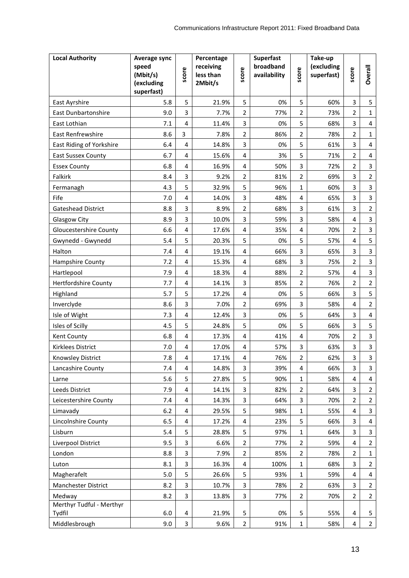| <b>Local Authority</b>             | Average sync<br>speed<br>(Mbit/s)<br>(excluding<br>superfast) | score                   | Percentage<br>receiving<br>less than<br>2Mbit/s | score          | <b>Superfast</b><br>broadband<br>availability | score          | Take-up<br>(excluding<br>superfast) | score                   | Overall                 |
|------------------------------------|---------------------------------------------------------------|-------------------------|-------------------------------------------------|----------------|-----------------------------------------------|----------------|-------------------------------------|-------------------------|-------------------------|
| East Ayrshire                      | 5.8                                                           | 5                       | 21.9%                                           | 5              | 0%                                            | 5              | 60%                                 | 3                       | 5                       |
| East Dunbartonshire                | 9.0                                                           | 3                       | 7.7%                                            | $\overline{2}$ | 77%                                           | $\overline{2}$ | 73%                                 | 2                       | $\mathbf{1}$            |
| East Lothian                       | 7.1                                                           | $\overline{4}$          | 11.4%                                           | 3              | 0%                                            | 5              | 68%                                 | 3                       | 4                       |
| East Renfrewshire                  | 8.6                                                           | $\overline{3}$          | 7.8%                                            | $\overline{2}$ | 86%                                           | $\overline{2}$ | 78%                                 | $\overline{2}$          | $\mathbf{1}$            |
| East Riding of Yorkshire           | 6.4                                                           | 4                       | 14.8%                                           | 3              | 0%                                            | 5              | 61%                                 | 3                       | 4                       |
| <b>East Sussex County</b>          | 6.7                                                           | $\overline{4}$          | 15.6%                                           | $\overline{4}$ | 3%                                            | 5              | 71%                                 | $\overline{2}$          | $\overline{4}$          |
| <b>Essex County</b>                | 6.8                                                           | 4                       | 16.9%                                           | $\overline{4}$ | 50%                                           | 3              | 72%                                 | $\overline{2}$          | $\overline{3}$          |
| Falkirk                            | 8.4                                                           | 3                       | 9.2%                                            | $\overline{2}$ | 81%                                           | 2              | 69%                                 | 3                       | $\overline{2}$          |
| Fermanagh                          | 4.3                                                           | 5                       | 32.9%                                           | 5              | 96%                                           | $\mathbf{1}$   | 60%                                 | 3                       | $\overline{3}$          |
| Fife                               | 7.0                                                           | 4                       | 14.0%                                           | 3              | 48%                                           | 4              | 65%                                 | 3                       | $\overline{\mathbf{3}}$ |
| Gateshead District                 | 8.8                                                           | 3                       | 8.9%                                            | $\overline{2}$ | 68%                                           | 3              | 61%                                 | 3                       | $\overline{2}$          |
| Glasgow City                       | 8.9                                                           | 3                       | 10.0%                                           | 3              | 59%                                           | 3              | 58%                                 | $\overline{4}$          | $\overline{\mathbf{3}}$ |
| <b>Gloucestershire County</b>      | 6.6                                                           | 4                       | 17.6%                                           | 4              | 35%                                           | 4              | 70%                                 | 2                       | 3                       |
| Gwynedd - Gwynedd                  | 5.4                                                           | 5                       | 20.3%                                           | 5              | 0%                                            | 5              | 57%                                 | 4                       | 5                       |
| Halton                             | 7.4                                                           | $\overline{\mathbf{4}}$ | 19.1%                                           | 4              | 66%                                           | 3              | 65%                                 | 3                       | 3                       |
| Hampshire County                   | 7.2                                                           | 4                       | 15.3%                                           | 4              | 68%                                           | 3              | 75%                                 | 2                       | $\overline{3}$          |
| Hartlepool                         | 7.9                                                           | 4                       | 18.3%                                           | $\overline{4}$ | 88%                                           | $\overline{2}$ | 57%                                 | 4                       | 3                       |
| Hertfordshire County               | 7.7                                                           | $\overline{4}$          | 14.1%                                           | 3              | 85%                                           | $\overline{2}$ | 76%                                 | 2                       | $\overline{2}$          |
| Highland                           | 5.7                                                           | 5                       | 17.2%                                           | 4              | 0%                                            | 5              | 66%                                 | 3                       | 5                       |
| Inverclyde                         | 8.6                                                           | 3                       | 7.0%                                            | $\overline{2}$ | 69%                                           | 3              | 58%                                 | 4                       | $\overline{2}$          |
| Isle of Wight                      | 7.3                                                           | $\overline{\mathbf{4}}$ | 12.4%                                           | 3              | 0%                                            | 5              | 64%                                 | 3                       | $\overline{\mathbf{4}}$ |
| Isles of Scilly                    | 4.5                                                           | 5                       | 24.8%                                           | 5              | 0%                                            | 5              | 66%                                 | 3                       | 5                       |
| Kent County                        | 6.8                                                           | $\overline{4}$          | 17.3%                                           | $\overline{4}$ | 41%                                           | 4              | 70%                                 | 2                       | 3                       |
| <b>Kirklees District</b>           | 7.0                                                           | 4                       | 17.0%                                           | $\overline{4}$ | 57%                                           | 3              | 63%                                 | 3                       | 3                       |
| Knowsley District                  | 7.8                                                           | $\overline{4}$          | 17.1%                                           | 4              | 76%                                           | 2              | 62%                                 | 3                       | $\overline{\mathbf{3}}$ |
| Lancashire County                  | 7.4                                                           | $\overline{4}$          | 14.8%                                           | 3              | 39%                                           | 4              | 66%                                 | 3                       | $\mathbf{3}$            |
| Larne                              | 5.6                                                           | 5                       | 27.8%                                           | 5              | 90%                                           | 1              | 58%                                 | 4                       | 4                       |
| Leeds District                     | 7.9                                                           | 4                       | 14.1%                                           | 3              | 82%                                           | $\overline{2}$ | 64%                                 | 3                       | $\overline{2}$          |
| Leicestershire County              | 7.4                                                           | 4                       | 14.3%                                           | 3              | 64%                                           | 3              | 70%                                 | $\overline{2}$          | $\overline{2}$          |
| Limavady                           | $6.2$                                                         | $\overline{4}$          | 29.5%                                           | 5              | 98%                                           | $\mathbf{1}$   | 55%                                 | $\overline{\mathbf{4}}$ | $\overline{3}$          |
| Lincolnshire County                | 6.5                                                           | 4                       | 17.2%                                           | $\overline{4}$ | 23%                                           | 5              | 66%                                 | 3                       | 4                       |
| Lisburn                            | 5.4                                                           | 5                       | 28.8%                                           | 5              | 97%                                           | $\mathbf{1}$   | 64%                                 | 3                       | $\overline{3}$          |
| Liverpool District                 | 9.5                                                           | 3                       | 6.6%                                            | $\overline{2}$ | 77%                                           | $\overline{2}$ | 59%                                 | 4                       | $\overline{2}$          |
| London                             | 8.8                                                           | 3                       | 7.9%                                            | $\overline{2}$ | 85%                                           | $\overline{2}$ | 78%                                 | 2                       | $\mathbf{1}$            |
| Luton                              | 8.1                                                           | 3                       | 16.3%                                           | $\overline{4}$ | 100%                                          | $\mathbf{1}$   | 68%                                 | 3                       | $\overline{2}$          |
| Magherafelt                        | 5.0                                                           | 5                       | 26.6%                                           | 5              | 93%                                           | $\mathbf{1}$   | 59%                                 | 4                       | 4                       |
| Manchester District                | 8.2                                                           | 3                       | 10.7%                                           | 3              | 78%                                           | $\overline{2}$ | 63%                                 | 3                       | $\overline{2}$          |
| Medway                             | 8.2                                                           | 3                       | 13.8%                                           | 3              | 77%                                           | $\overline{2}$ | 70%                                 | $\overline{2}$          | $\overline{2}$          |
| Merthyr Tudful - Merthyr<br>Tydfil | 6.0                                                           | 4                       | 21.9%                                           | 5              | 0%                                            | 5              | 55%                                 | 4                       | 5                       |
| Middlesbrough                      | 9.0                                                           | $\overline{\mathbf{3}}$ | 9.6%                                            | $\overline{2}$ | 91%                                           | $\mathbf{1}$   | 58%                                 | 4                       | $\overline{2}$          |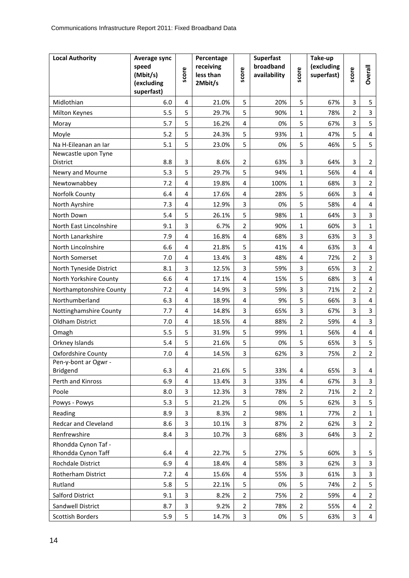| <b>Local Authority</b>                    | Average sync<br>speed<br>(Mbit/s)<br>(excluding<br>superfast) | score          | Percentage<br>receiving<br>less than<br>2Mbit/s | score          | <b>Superfast</b><br>broadband<br>availability | score          | Take-up<br>(excluding<br>superfast) | score          | <b>Overall</b>          |
|-------------------------------------------|---------------------------------------------------------------|----------------|-------------------------------------------------|----------------|-----------------------------------------------|----------------|-------------------------------------|----------------|-------------------------|
| Midlothian                                | 6.0                                                           | 4              | 21.0%                                           | 5              | 20%                                           | 5              | 67%                                 | 3              | 5                       |
| Milton Keynes                             | 5.5                                                           | 5              | 29.7%                                           | 5              | 90%                                           | $\mathbf{1}$   | 78%                                 | $\overline{2}$ | $\overline{3}$          |
| Moray                                     | 5.7                                                           | 5              | 16.2%                                           | $\overline{4}$ | 0%                                            | 5              | 67%                                 | 3              | 5                       |
| Moyle                                     | 5.2                                                           | 5              | 24.3%                                           | 5              | 93%                                           | $\mathbf{1}$   | 47%                                 | 5              | 4                       |
| Na H-Eileanan an Iar                      | 5.1                                                           | 5              | 23.0%                                           | 5              | 0%                                            | 5              | 46%                                 | 5              | 5                       |
| Newcastle upon Tyne                       |                                                               |                |                                                 |                |                                               |                |                                     |                |                         |
| District                                  | 8.8                                                           | 3              | 8.6%                                            | $\overline{2}$ | 63%                                           | 3              | 64%                                 | 3              | $\overline{2}$          |
| Newry and Mourne                          | 5.3                                                           | 5              | 29.7%                                           | 5              | 94%                                           | $\mathbf{1}$   | 56%                                 | 4              | 4                       |
| Newtownabbey                              | 7.2                                                           | 4              | 19.8%                                           | 4              | 100%                                          | 1              | 68%                                 | 3              | $\overline{2}$          |
| Norfolk County                            | 6.4                                                           | 4              | 17.6%                                           | 4              | 28%                                           | 5              | 66%                                 | 3              | 4                       |
| North Ayrshire                            | 7.3                                                           | 4              | 12.9%                                           | 3              | 0%                                            | 5              | 58%                                 | 4              | 4                       |
| North Down                                | 5.4                                                           | 5              | 26.1%                                           | 5              | 98%                                           | 1              | 64%                                 | 3              | $\overline{3}$          |
| North East Lincolnshire                   | 9.1                                                           | 3              | 6.7%                                            | $\overline{2}$ | 90%                                           | $\mathbf{1}$   | 60%                                 | 3              | $\mathbf{1}$            |
| North Lanarkshire                         | 7.9                                                           | 4              | 16.8%                                           | 4              | 68%                                           | 3              | 63%                                 | 3              | 3                       |
| North Lincolnshire                        | 6.6                                                           | 4              | 21.8%                                           | 5              | 41%                                           | 4              | 63%                                 | 3              | 4                       |
| North Somerset                            | 7.0                                                           | 4              | 13.4%                                           | 3              | 48%                                           | 4              | 72%                                 | 2              | 3                       |
| North Tyneside District                   | 8.1                                                           | 3              | 12.5%                                           | 3              | 59%                                           | 3              | 65%                                 | 3              | $\overline{2}$          |
| North Yorkshire County                    | 6.6                                                           | $\overline{4}$ | 17.1%                                           | $\overline{4}$ | 15%                                           | 5              | 68%                                 | 3              | $\overline{\mathbf{4}}$ |
| Northamptonshire County                   | 7.2                                                           | 4              | 14.9%                                           | 3              | 59%                                           | 3              | 71%                                 | 2              | $\overline{2}$          |
| Northumberland                            | 6.3                                                           | 4              | 18.9%                                           | $\overline{4}$ | 9%                                            | 5              | 66%                                 | 3              | 4                       |
| Nottinghamshire County                    | 7.7                                                           | 4              | 14.8%                                           | 3              | 65%                                           | 3              | 67%                                 | 3              | 3                       |
| <b>Oldham District</b>                    | 7.0                                                           | 4              | 18.5%                                           | $\overline{4}$ | 88%                                           | $\overline{2}$ | 59%                                 | 4              | $\overline{3}$          |
| Omagh                                     | 5.5                                                           | 5              | 31.9%                                           | 5              | 99%                                           | $\mathbf{1}$   | 56%                                 | 4              | 4                       |
| Orkney Islands                            | 5.4                                                           | 5              | 21.6%                                           | 5              | 0%                                            | 5              | 65%                                 | 3              | 5                       |
| <b>Oxfordshire County</b>                 | 7.0                                                           | 4              | 14.5%                                           | 3              | 62%                                           | 3              | 75%                                 | $\overline{2}$ | $\overline{2}$          |
| Pen-y-bont ar Ogwr -                      |                                                               |                |                                                 |                |                                               |                |                                     |                |                         |
| Bridgend                                  | 6.3                                                           | 4              | 21.6%                                           | 5              | 33%                                           | 4              | 65%                                 | 3              | 4                       |
| Perth and Kinross                         | 6.9                                                           | 4              | 13.4%                                           | 3              | 33%                                           | 4              | 67%                                 | 3              | $\overline{\mathbf{3}}$ |
| Poole                                     | 8.0                                                           | $\overline{3}$ | 12.3%                                           | 3              | 78%                                           | $\overline{2}$ | 71%                                 | $\overline{2}$ | $\overline{2}$          |
| Powys - Powys                             | 5.3                                                           | 5              | 21.2%                                           | 5              | 0%                                            | 5              | 62%                                 | 3              | 5                       |
| Reading                                   | 8.9                                                           | 3              | 8.3%                                            | $\overline{2}$ | 98%                                           | $\mathbf{1}$   | 77%                                 | $\overline{2}$ | $\mathbf{1}$            |
| Redcar and Cleveland                      | 8.6                                                           | 3              | 10.1%                                           | 3              | 87%                                           | $\overline{2}$ | 62%                                 | 3              | $\overline{2}$          |
| Renfrewshire                              | 8.4                                                           | 3              | 10.7%                                           | 3              | 68%                                           | 3              | 64%                                 | 3              | $\overline{2}$          |
| Rhondda Cynon Taf -<br>Rhondda Cynon Taff | 6.4                                                           | 4              | 22.7%                                           | 5              | 27%                                           | 5              | 60%                                 | 3              | 5                       |
|                                           |                                                               |                |                                                 |                |                                               |                |                                     |                | 3                       |
| Rochdale District<br>Rotherham District   | 6.9                                                           | 4<br>4         | 18.4%                                           | 4<br>4         | 58%                                           | 3<br>3         | 62%                                 | 3<br>3         | $\overline{3}$          |
|                                           | 7.2                                                           |                | 15.6%                                           |                | 55%                                           |                | 61%                                 |                |                         |
| Rutland                                   | 5.8                                                           | 5              | 22.1%                                           | 5              | 0%                                            | 5              | 74%                                 | 2              | 5                       |
| Salford District                          | 9.1                                                           | 3              | 8.2%                                            | $\overline{2}$ | 75%                                           | $\overline{2}$ | 59%                                 | 4              | $\overline{2}$          |
| Sandwell District                         | 8.7                                                           | 3              | 9.2%                                            | $\overline{2}$ | 78%                                           | $\overline{2}$ | 55%                                 | 4              | $\overline{2}$          |
| Scottish Borders                          | 5.9                                                           | 5              | 14.7%                                           | 3              | 0%                                            | 5              | 63%                                 | 3              | $\overline{4}$          |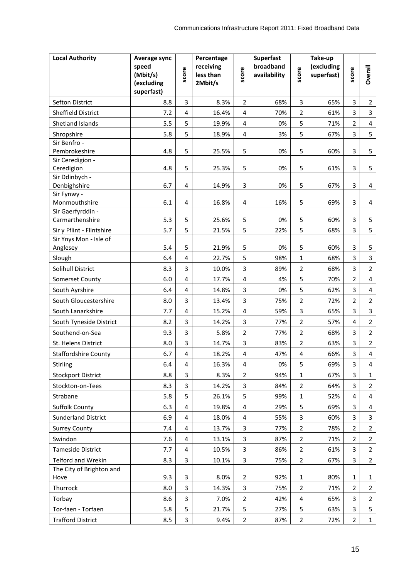| <b>Local Authority</b>       | Average sync<br>speed<br>(Mbit/s)<br>(excluding<br>superfast) | score                   | Percentage<br>receiving<br>less than<br>2Mbit/s | score          | <b>Superfast</b><br>broadband<br>availability | score          | Take-up<br>(excluding<br>superfast) | score          | <b>Overall</b>          |
|------------------------------|---------------------------------------------------------------|-------------------------|-------------------------------------------------|----------------|-----------------------------------------------|----------------|-------------------------------------|----------------|-------------------------|
| Sefton District              | 8.8                                                           | 3                       | 8.3%                                            | $\overline{2}$ | 68%                                           | 3              | 65%                                 | 3              | $\overline{2}$          |
| Sheffield District           | 7.2                                                           | 4                       | 16.4%                                           | $\overline{4}$ | 70%                                           | $\overline{2}$ | 61%                                 | 3              | $\overline{3}$          |
| Shetland Islands             | 5.5                                                           | 5                       | 19.9%                                           | $\overline{4}$ | 0%                                            | 5              | 71%                                 | 2              | $\overline{\mathbf{4}}$ |
| Shropshire                   | 5.8                                                           | 5                       | 18.9%                                           | $\overline{4}$ | 3%                                            | 5              | 67%                                 | 3              | 5                       |
| Sir Benfro -                 |                                                               |                         |                                                 |                |                                               |                |                                     |                |                         |
| Pembrokeshire                | 4.8                                                           | 5                       | 25.5%                                           | 5              | 0%                                            | 5              | 60%                                 | $\overline{3}$ | 5                       |
| Sir Ceredigion -             |                                                               |                         |                                                 |                |                                               |                |                                     |                |                         |
| Ceredigion                   | 4.8                                                           | 5                       | 25.3%                                           | 5              | 0%                                            | 5              | 61%                                 | 3              | 5                       |
| Sir Ddinbych -               |                                                               |                         |                                                 |                |                                               |                |                                     |                |                         |
| Denbighshire                 | 6.7                                                           | 4                       | 14.9%                                           | 3              | 0%                                            | 5              | 67%                                 | 3              | 4                       |
| Sir Fynwy -<br>Monmouthshire | 6.1                                                           | 4                       | 16.8%                                           | $\overline{4}$ | 16%                                           | 5              | 69%                                 | 3              | 4                       |
| Sir Gaerfyrddin -            |                                                               |                         |                                                 |                |                                               |                |                                     |                |                         |
| Carmarthenshire              | 5.3                                                           | 5                       | 25.6%                                           | 5              | 0%                                            | 5              | 60%                                 | 3              | 5                       |
| Sir y Fflint - Flintshire    | 5.7                                                           | 5                       | 21.5%                                           | 5              | 22%                                           | 5              | 68%                                 | 3              | 5                       |
| Sir Ynys Mon - Isle of       |                                                               |                         |                                                 |                |                                               |                |                                     |                |                         |
| Anglesey                     | 5.4                                                           | 5                       | 21.9%                                           | 5              | 0%                                            | 5              | 60%                                 | 3              | 5                       |
| Slough                       | 6.4                                                           | $\overline{4}$          | 22.7%                                           | 5              | 98%                                           | $\mathbf{1}$   | 68%                                 | 3              | $\overline{3}$          |
| Solihull District            | 8.3                                                           | 3                       | 10.0%                                           | 3              | 89%                                           | $\overline{2}$ | 68%                                 | 3              | $\overline{2}$          |
| Somerset County              | 6.0                                                           | 4                       | 17.7%                                           | 4              | 4%                                            | 5              | 70%                                 | 2              | 4                       |
| South Ayrshire               | 6.4                                                           | 4                       | 14.8%                                           | 3              | 0%                                            | 5              | 62%                                 | 3              | 4                       |
| South Gloucestershire        | 8.0                                                           | 3                       | 13.4%                                           | 3              | 75%                                           | $\overline{2}$ | 72%                                 | 2              | $\overline{2}$          |
| South Lanarkshire            | 7.7                                                           | 4                       | 15.2%                                           | 4              | 59%                                           | 3              | 65%                                 | 3              | $\overline{3}$          |
| South Tyneside District      | 8.2                                                           | 3                       | 14.2%                                           | 3              | 77%                                           | $\overline{2}$ | 57%                                 | 4              | $\overline{2}$          |
| Southend-on-Sea              | 9.3                                                           | 3                       | 5.8%                                            | $\overline{2}$ | 77%                                           | $\overline{2}$ | 68%                                 | 3              | $\overline{2}$          |
| St. Helens District          | 8.0                                                           | 3                       | 14.7%                                           | 3              | 83%                                           | $\overline{2}$ | 63%                                 | 3              | $\overline{2}$          |
| <b>Staffordshire County</b>  | 6.7                                                           | 4                       | 18.2%                                           | 4              | 47%                                           | 4              | 66%                                 | 3              | $\overline{4}$          |
| Stirling                     | 6.4                                                           | 4                       | 16.3%                                           | 4              | 0%                                            | 5              | 69%                                 | 3              | 4                       |
| <b>Stockport District</b>    | 8.8                                                           | 3                       | 8.3%                                            | 2              | 94%                                           | 1              | 67%                                 | 3              | 1                       |
| Stockton-on-Tees             | 8.3                                                           | 3                       | 14.2%                                           | 3              | 84%                                           | $\overline{2}$ | 64%                                 | 3              | $\overline{2}$          |
| Strabane                     | 5.8                                                           | 5                       | 26.1%                                           | 5              | 99%                                           | $\mathbf{1}$   | 52%                                 | 4              | 4                       |
| <b>Suffolk County</b>        | 6.3                                                           | 4                       | 19.8%                                           | 4              | 29%                                           | 5              | 69%                                 | 3              | 4                       |
| <b>Sunderland District</b>   | 6.9                                                           | 4                       | 18.0%                                           | 4              | 55%                                           | 3              | 60%                                 | 3              | 3                       |
| <b>Surrey County</b>         | 7.4                                                           | $\overline{4}$          | 13.7%                                           | 3              | 77%                                           | $\overline{2}$ | 78%                                 | 2              | $\overline{2}$          |
| Swindon                      | 7.6                                                           | 4                       | 13.1%                                           | 3              | 87%                                           | $\overline{2}$ | 71%                                 | 2              | $\overline{2}$          |
| <b>Tameside District</b>     | 7.7                                                           | 4                       | 10.5%                                           | 3              | 86%                                           | $\overline{2}$ | 61%                                 | 3              | $\overline{2}$          |
| Telford and Wrekin           | 8.3                                                           | $\overline{3}$          | 10.1%                                           | 3              | 75%                                           | $\overline{2}$ | 67%                                 | 3              | $\overline{2}$          |
| The City of Brighton and     |                                                               |                         |                                                 |                |                                               |                |                                     |                |                         |
| Hove                         | 9.3                                                           | 3                       | 8.0%                                            | $\overline{2}$ | 92%                                           | $\mathbf{1}$   | 80%                                 | 1              | 1                       |
| Thurrock                     | 8.0                                                           | 3                       | 14.3%                                           | 3              | 75%                                           | $\overline{2}$ | 71%                                 | $\overline{2}$ | $\overline{2}$          |
| Torbay                       | 8.6                                                           | 3                       | 7.0%                                            | $\overline{2}$ | 42%                                           | 4              | 65%                                 | 3              | $\overline{2}$          |
| Tor-faen - Torfaen           | 5.8                                                           | 5                       | 21.7%                                           | 5              | 27%                                           | 5              | 63%                                 | 3              | 5                       |
| <b>Trafford District</b>     | 8.5                                                           | $\overline{\mathbf{3}}$ | 9.4%                                            | $\overline{2}$ | 87%                                           | $\overline{2}$ | 72%                                 | $\overline{2}$ | $\mathbf{1}$            |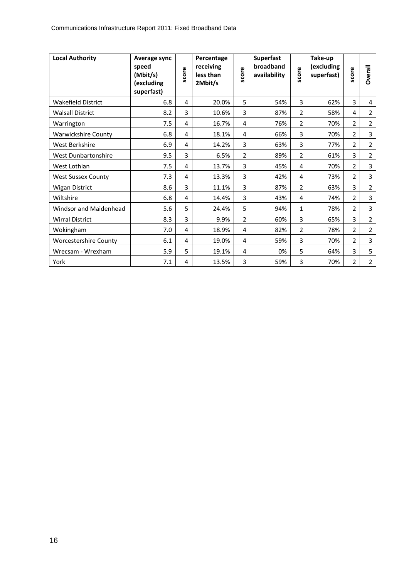| <b>Local Authority</b>       | Average sync<br>speed<br>(Mbit/s)<br>(excluding<br>superfast) | score | Percentage<br>receiving<br>less than<br>2Mbit/s | score | <b>Superfast</b><br>broadband<br>availability | score          | Take-up<br>(excluding<br>superfast) | score          | Overall        |
|------------------------------|---------------------------------------------------------------|-------|-------------------------------------------------|-------|-----------------------------------------------|----------------|-------------------------------------|----------------|----------------|
| <b>Wakefield District</b>    | 6.8                                                           | 4     | 20.0%                                           | 5     | 54%                                           | 3              | 62%                                 | 3              | 4              |
| <b>Walsall District</b>      | 8.2                                                           | 3     | 10.6%                                           | 3     | 87%                                           | $\overline{2}$ | 58%                                 | 4              | 2              |
| Warrington                   | 7.5                                                           | 4     | 16.7%                                           | 4     | 76%                                           | $\overline{2}$ | 70%                                 | $\overline{2}$ | 2              |
| <b>Warwickshire County</b>   | 6.8                                                           | 4     | 18.1%                                           | 4     | 66%                                           | 3              | 70%                                 | 2              | 3              |
| West Berkshire               | 6.9                                                           | 4     | 14.2%                                           | 3     | 63%                                           | 3              | 77%                                 | $\overline{2}$ | 2              |
| <b>West Dunbartonshire</b>   | 9.5                                                           | 3     | 6.5%                                            | 2     | 89%                                           | 2              | 61%                                 | 3              | 2              |
| West Lothian                 | 7.5                                                           | 4     | 13.7%                                           | 3     | 45%                                           | 4              | 70%                                 | $\overline{2}$ | 3              |
| <b>West Sussex County</b>    | 7.3                                                           | 4     | 13.3%                                           | 3     | 42%                                           | 4              | 73%                                 | 2              | 3              |
| <b>Wigan District</b>        | 8.6                                                           | 3     | 11.1%                                           | 3     | 87%                                           | 2              | 63%                                 | 3              | $\overline{2}$ |
| Wiltshire                    | 6.8                                                           | 4     | 14.4%                                           | 3     | 43%                                           | 4              | 74%                                 | 2              | 3              |
| Windsor and Maidenhead       | 5.6                                                           | 5     | 24.4%                                           | 5     | 94%                                           | $\mathbf{1}$   | 78%                                 | $\overline{2}$ | 3              |
| <b>Wirral District</b>       | 8.3                                                           | 3     | 9.9%                                            | 2     | 60%                                           | 3              | 65%                                 | 3              | $\overline{2}$ |
| Wokingham                    | 7.0                                                           | 4     | 18.9%                                           | 4     | 82%                                           | $\overline{2}$ | 78%                                 | $\overline{2}$ | 2              |
| <b>Worcestershire County</b> | 6.1                                                           | 4     | 19.0%                                           | 4     | 59%                                           | 3              | 70%                                 | 2              | 3              |
| Wrecsam - Wrexham            | 5.9                                                           | 5     | 19.1%                                           | 4     | 0%                                            | 5              | 64%                                 | 3              | 5              |
| York                         | 7.1                                                           | 4     | 13.5%                                           | 3     | 59%                                           | 3              | 70%                                 | $\overline{2}$ | 2              |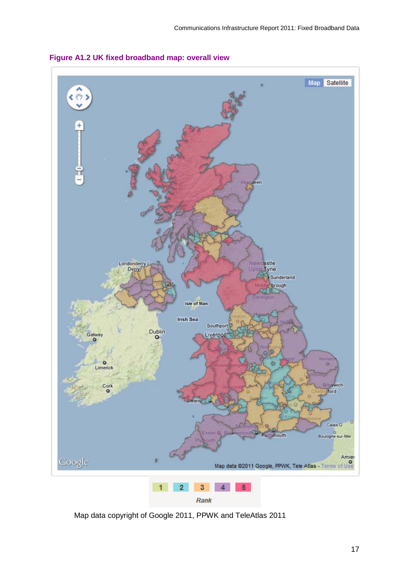

**Figure A1.2 UK fixed broadband map: overall view**

Map data copyright of Google 2011, PPWK and TeleAtlas 2011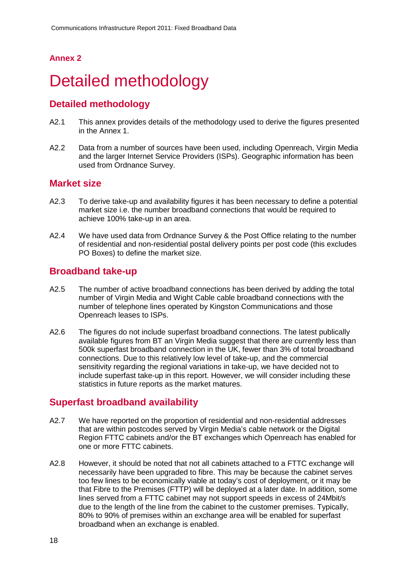#### **Annex 2**

# <span id="page-18-0"></span>Detailed methodology

### **Detailed methodology**

- A2.1 This annex provides details of the methodology used to derive the figures presented in the Annex 1.
- A2.2 Data from a number of sources have been used, including Openreach, Virgin Media and the larger Internet Service Providers (ISPs). Geographic information has been used from Ordnance Survey.

### **Market size**

- A2.3 To derive take-up and availability figures it has been necessary to define a potential market size i.e. the number broadband connections that would be required to achieve 100% take-up in an area.
- A2.4 We have used data from Ordnance Survey & the Post Office relating to the number of residential and non-residential postal delivery points per post code (this excludes PO Boxes) to define the market size.

### **Broadband take-up**

- A2.5 The number of active broadband connections has been derived by adding the total number of Virgin Media and Wight Cable cable broadband connections with the number of telephone lines operated by Kingston Communications and those Openreach leases to ISPs.
- A2.6 The figures do not include superfast broadband connections. The latest publically available figures from BT an Virgin Media suggest that there are currently less than 500k superfast broadband connection in the UK, fewer than 3% of total broadband connections. Due to this relatively low level of take-up, and the commercial sensitivity regarding the regional variations in take-up, we have decided not to include superfast take-up in this report. However, we will consider including these statistics in future reports as the market matures.

#### **Superfast broadband availability**

- A2.7 We have reported on the proportion of residential and non-residential addresses that are within postcodes served by Virgin Media's cable network or the Digital Region FTTC cabinets and/or the BT exchanges which Openreach has enabled for one or more FTTC cabinets.
- A2.8 However, it should be noted that not all cabinets attached to a FTTC exchange will necessarily have been upgraded to fibre. This may be because the cabinet serves too few lines to be economically viable at today's cost of deployment, or it may be that Fibre to the Premises (FTTP) will be deployed at a later date. In addition, some lines served from a FTTC cabinet may not support speeds in excess of 24Mbit/s due to the length of the line from the cabinet to the customer premises. Typically, 80% to 90% of premises within an exchange area will be enabled for superfast broadband when an exchange is enabled.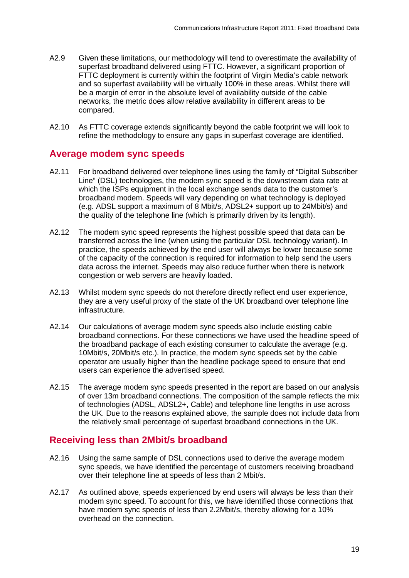- A2.9 Given these limitations, our methodology will tend to overestimate the availability of superfast broadband delivered using FTTC. However, a significant proportion of FTTC deployment is currently within the footprint of Virgin Media's cable network and so superfast availability will be virtually 100% in these areas. Whilst there will be a margin of error in the absolute level of availability outside of the cable networks, the metric does allow relative availability in different areas to be compared.
- A2.10 As FTTC coverage extends significantly beyond the cable footprint we will look to refine the methodology to ensure any gaps in superfast coverage are identified.

### **Average modem sync speeds**

- A2.11 For broadband delivered over telephone lines using the family of "Digital Subscriber Line" (DSL) technologies, the modem sync speed is the downstream data rate at which the ISPs equipment in the local exchange sends data to the customer's broadband modem. Speeds will vary depending on what technology is deployed (e.g. ADSL support a maximum of 8 Mbit/s, ADSL2+ support up to 24Mbit/s) and the quality of the telephone line (which is primarily driven by its length).
- A2.12 The modem sync speed represents the highest possible speed that data can be transferred across the line (when using the particular DSL technology variant). In practice, the speeds achieved by the end user will always be lower because some of the capacity of the connection is required for information to help send the users data across the internet. Speeds may also reduce further when there is network congestion or web servers are heavily loaded.
- A2.13 Whilst modem sync speeds do not therefore directly reflect end user experience, they are a very useful proxy of the state of the UK broadband over telephone line infrastructure.
- A2.14 Our calculations of average modem sync speeds also include existing cable broadband connections. For these connections we have used the headline speed of the broadband package of each existing consumer to calculate the average (e.g. 10Mbit/s, 20Mbit/s etc.). In practice, the modem sync speeds set by the cable operator are usually higher than the headline package speed to ensure that end users can experience the advertised speed.
- A2.15 The average modem sync speeds presented in the report are based on our analysis of over 13m broadband connections. The composition of the sample reflects the mix of technologies (ADSL, ADSL2+, Cable) and telephone line lengths in use across the UK. Due to the reasons explained above, the sample does not include data from the relatively small percentage of superfast broadband connections in the UK.

### **Receiving less than 2Mbit/s broadband**

- A2.16 Using the same sample of DSL connections used to derive the average modem sync speeds, we have identified the percentage of customers receiving broadband over their telephone line at speeds of less than 2 Mbit/s.
- A2.17 As outlined above, speeds experienced by end users will always be less than their modem sync speed. To account for this, we have identified those connections that have modem sync speeds of less than 2.2Mbit/s, thereby allowing for a 10% overhead on the connection.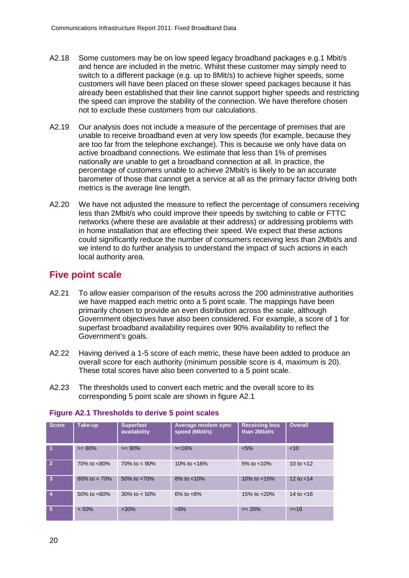- A2.18 Some customers may be on low speed legacy broadband packages e.g.1 Mbit/s and hence are included in the metric. Whilst these customer may simply need to switch to a different package (e.g. up to 8Mit/s) to achieve higher speeds, some customers will have been placed on these slower speed packages because it has already been established that their line cannot support higher speeds and restricting the speed can improve the stability of the connection. We have therefore chosen not to exclude these customers from our calculations.
- A2.19 Our analysis does not include a measure of the percentage of premises that are unable to receive broadband even at very low speeds (for example, because they are too far from the telephone exchange). This is because we only have data on active broadband connections. We estimate that less than 1% of premises nationally are unable to get a broadband connection at all. In practice, the percentage of customers unable to achieve 2Mbit/s is likely to be an accurate barometer of those that cannot get a service at all as the primary factor driving both metrics is the average line length.
- A2.20 We have not adjusted the measure to reflect the percentage of consumers receiving less than 2Mbit/s who could improve their speeds by switching to cable or FTTC networks (where these are available at their address) or addressing problems with in home installation that are effecting their speed. We expect that these actions could significantly reduce the number of consumers receiving less than 2Mbit/s and we intend to do further analysis to understand the impact of such actions in each local authority area.

### **Five point scale**

- A2.21 To allow easier comparison of the results across the 200 administrative authorities we have mapped each metric onto a 5 point scale. The mappings have been primarily chosen to provide an even distribution across the scale, although Government objectives have also been considered. For example, a score of 1 for superfast broadband availability requires over 90% availability to reflect the Government's goals.
- A2.22 Having derived a 1-5 score of each metric, these have been added to produce an overall score for each authority (minimum possible score is 4, maximum is 20). These total scores have also been converted to a 5 point scale.
- A2.23 The thresholds used to convert each metric and the overall score to its corresponding 5 point scale are shown in figure A2.1

| <b>Score</b>   | Take-up         | <b>Superfast</b><br>availability | Average modem sync<br>speed (Mbit/s) | <b>Receiving less</b><br>than 2Mbit/s | <b>Overall</b> |
|----------------|-----------------|----------------------------------|--------------------------------------|---------------------------------------|----------------|
| -1             | $>= 80%$        | $>= 90%$                         | $>=16%$                              | $< 5\%$                               | < 10           |
| ا 2            | 70% to <80%     | 70\% to $< 90\%$                 | 10% to $<$ 16%                       | 5% to $< 10\%$                        | 10 to $<$ 12   |
| $\overline{3}$ | 60% to $< 70\%$ | 50% to <70%                      | $8\%$ to $< 10\%$                    | 10\% to $<15\%$                       | 12 to $<$ 14   |
| 4              | 50\% to $<60\%$ | 30\% to $< 50\%$                 | $6\%$ to $<8\%$                      | 15% to $< 20\%$                       | 14 to $<$ 16   |
| $\sqrt{5}$     | < 50%           | < 30%                            | $<6\%$                               | $>= 20%$                              | $>= 16$        |

#### **Figure A2.1 Thresholds to derive 5 point scales**